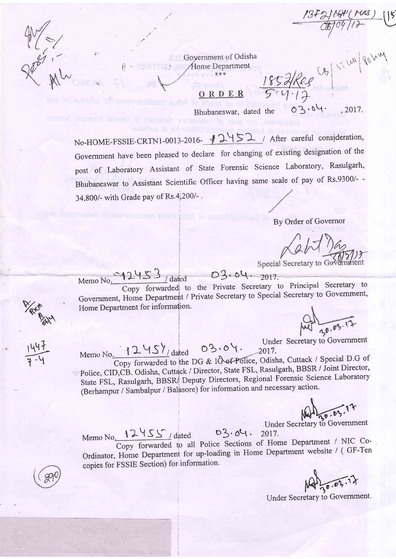Government of Odisha  $\mathcal{A}$  Mome Department

ORDER

Bhubaneswar, dated the

1852 Ree CA 5-100 Romm .2017.

 $\frac{18}{1600}$  (PURS) (15)

No-HOME-FSSIE-CRTN1-0013-2016-12452 / After careful consideration, Government have been pleased to declare for changing of existing designation of the post of Laboratory Assistant of State Forensic Science Laboratory, Rasulgarh, Bhubaneswar to Assistant Scientific Officer having same scale of pay of Rs.9300/--34,800/- with Grade pay of Rs.4,200/-.

## By Order of Governor

 $02.04.$ 

Special Secretary to Go

Memo No. 12453 / dated 03.04. 2017. Copy forwarded to the Private Secretary to Principal Secretary to Government, Home Department / Private Secretary to Special Secretary to Government, Home Department for information.

Memo No. 12457 dated 03.04. Under Secretary to Government Copy forwarded to the DG & IO of Police, Odisha, Cuttack / Special D.G of Police, CID, CB. Odisha, Cuttack / Director, State FSL, Rasulgarh, BBSR / Joint Director, State FSL, Rasulgarh, BBSR Deputy Directors, Regional Forensic Science Laboratory (Berhampur / Sambalpur / Balasore) for information and necessary action.

Under Secretary to Government

Memo No. 12455 / dated  $03.04.$ 2017. Copy forwarded to all Police Sections of Home Department / NIC Co-Ordinator, Home Department for up-loading in Home Department website / (GF-Ten copies for FSSIE Section) for information.

Under Secretary to Government.